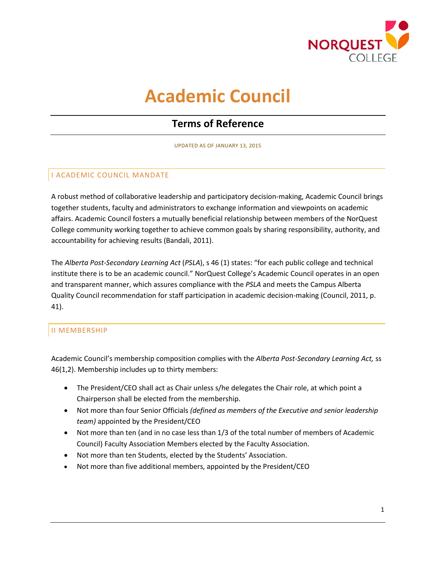

# **Academic Council**

## **Terms of Reference**

UPDATED AS OF JANUARY 13, 2015

## I ACADEMIC COUNCIL MANDATE

A robust method of collaborative leadership and participatory decision-making, Academic Council brings together students, faculty and administrators to exchange information and viewpoints on academic affairs. Academic Council fosters a mutually beneficial relationship between members of the NorQuest College community working together to achieve common goals by sharing responsibility, authority, and accountability for achieving results (Bandali, 2011).

The *Alberta Post-Secondary Learning Act* (*PSLA*), s 46 (1) states: "for each public college and technical institute there is to be an academic council." NorQuest College's Academic Council operates in an open and transparent manner, which assures compliance with the *PSLA* and meets the Campus Alberta Quality Council recommendation for staff participation in academic decision-making (Council, 2011, p. 41).

## II MEMBERSHIP

Academic Council's membership composition complies with the *Alberta Post-Secondary Learning Act,* ss 46(1,2). Membership includes up to thirty members:

- The President/CEO shall act as Chair unless s/he delegates the Chair role, at which point a Chairperson shall be elected from the membership.
- Not more than four Senior Officials *(defined as members of the Executive and senior leadership team)* appointed by the President/CEO
- Not more than ten (and in no case less than 1/3 of the total number of members of Academic Council) Faculty Association Members elected by the Faculty Association.
- Not more than ten Students, elected by the Students' Association.
- Not more than five additional members, appointed by the President/CEO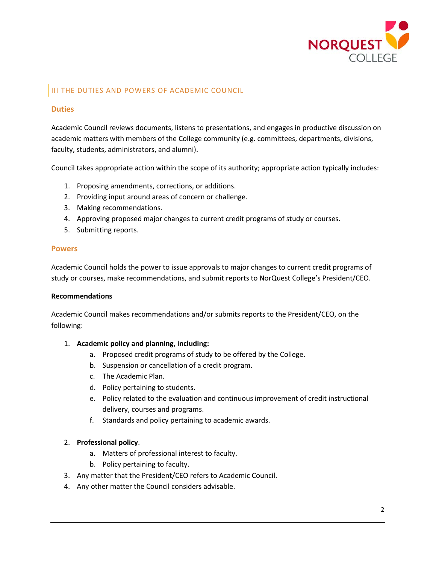

## III THE DUTIES AND POWERS OF ACADEMIC COUNCIL

#### **Duties**

Academic Council reviews documents, listens to presentations, and engages in productive discussion on academic matters with members of the College community (e.g. committees, departments, divisions, faculty, students, administrators, and alumni).

Council takes appropriate action within the scope of its authority; appropriate action typically includes:

- 1. Proposing amendments, corrections, or additions.
- 2. Providing input around areas of concern or challenge.
- 3. Making recommendations.
- 4. Approving proposed major changes to current credit programs of study or courses.
- 5. Submitting reports.

#### **Powers**

Academic Council holds the power to issue approvals to major changes to current credit programs of study or courses, make recommendations, and submit reports to NorQuest College's President/CEO.

#### **Recommendations**

Academic Council makes recommendations and/or submits reports to the President/CEO, on the following:

#### 1. **Academic policy and planning, including:**

- a. Proposed credit programs of study to be offered by the College.
- b. Suspension or cancellation of a credit program.
- c. The Academic Plan.
- d. Policy pertaining to students.
- e. Policy related to the evaluation and continuous improvement of credit instructional delivery, courses and programs.
- f. Standards and policy pertaining to academic awards.

#### 2. **Professional policy**.

- a. Matters of professional interest to faculty.
- b. Policy pertaining to faculty.
- 3. Any matter that the President/CEO refers to Academic Council.
- 4. Any other matter the Council considers advisable.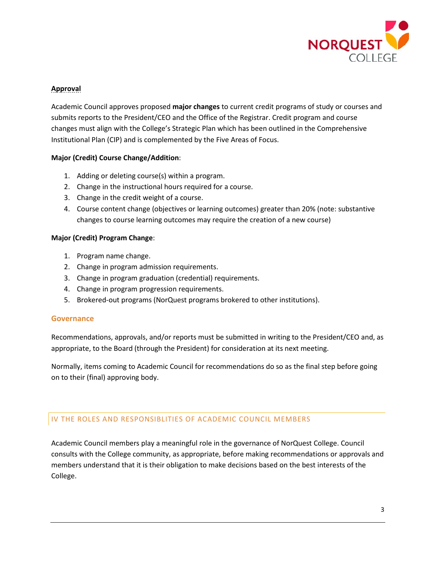

## **Approval**

Academic Council approves proposed **major changes** to current credit programs of study or courses and submits reports to the President/CEO and the Office of the Registrar. Credit program and course changes must align with the College's Strategic Plan which has been outlined in the Comprehensive Institutional Plan (CIP) and is complemented by the Five Areas of Focus.

#### **Major (Credit) Course Change/Addition**:

- 1. Adding or deleting course(s) within a program.
- 2. Change in the instructional hours required for a course.
- 3. Change in the credit weight of a course.
- 4. Course content change (objectives or learning outcomes) greater than 20% (note: substantive changes to course learning outcomes may require the creation of a new course)

#### **Major (Credit) Program Change**:

- 1. Program name change.
- 2. Change in program admission requirements.
- 3. Change in program graduation (credential) requirements.
- 4. Change in program progression requirements.
- 5. Brokered-out programs (NorQuest programs brokered to other institutions).

#### **Governance**

Recommendations, approvals, and/or reports must be submitted in writing to the President/CEO and, as appropriate, to the Board (through the President) for consideration at its next meeting.

Normally, items coming to Academic Council for recommendations do so as the final step before going on to their (final) approving body.

## IV THE ROLES AND RESPONSIBLITIES OF ACADEMIC COUNCIL MEMBERS

Academic Council members play a meaningful role in the governance of NorQuest College. Council consults with the College community, as appropriate, before making recommendations or approvals and members understand that it is their obligation to make decisions based on the best interests of the College.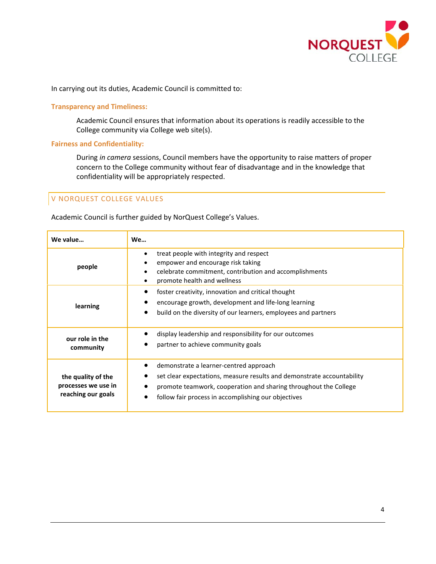

In carrying out its duties, Academic Council is committed to:

#### **Transparency and Timeliness:**

Academic Council ensures that information about its operations is readily accessible to the College community via College web site(s).

#### **Fairness and Confidentiality:**

During *in camera* sessions, Council members have the opportunity to raise matters of proper concern to the College community without fear of disadvantage and in the knowledge that confidentiality will be appropriately respected.

## V NORQUEST COLLEGE VALUES

Academic Council is further guided by NorQuest College's Values.

| We value                                                        | <b>We</b>                                                                                                                                                                                                                                   |
|-----------------------------------------------------------------|---------------------------------------------------------------------------------------------------------------------------------------------------------------------------------------------------------------------------------------------|
| people                                                          | treat people with integrity and respect<br>empower and encourage risk taking<br>celebrate commitment, contribution and accomplishments<br>promote health and wellness                                                                       |
| learning                                                        | foster creativity, innovation and critical thought<br>encourage growth, development and life-long learning<br>build on the diversity of our learners, employees and partners                                                                |
| our role in the<br>community                                    | display leadership and responsibility for our outcomes<br>partner to achieve community goals                                                                                                                                                |
| the quality of the<br>processes we use in<br>reaching our goals | demonstrate a learner-centred approach<br>set clear expectations, measure results and demonstrate accountability<br>promote teamwork, cooperation and sharing throughout the College<br>follow fair process in accomplishing our objectives |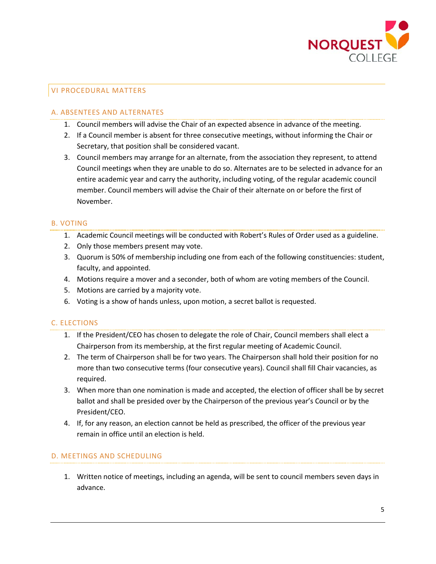

## VI PROCEDURAL MATTERS

## A. ABSENTEES AND ALTERNATES

- 1. Council members will advise the Chair of an expected absence in advance of the meeting.
- 2. If a Council member is absent for three consecutive meetings, without informing the Chair or Secretary, that position shall be considered vacant.
- 3. Council members may arrange for an alternate, from the association they represent, to attend Council meetings when they are unable to do so. Alternates are to be selected in advance for an entire academic year and carry the authority, including voting, of the regular academic council member. Council members will advise the Chair of their alternate on or before the first of November.

## B. VOTING

- 1. Academic Council meetings will be conducted with Robert's Rules of Order used as a guideline.
- 2. Only those members present may vote.
- 3. Quorum is 50% of membership including one from each of the following constituencies: student, faculty, and appointed.
- 4. Motions require a mover and a seconder, both of whom are voting members of the Council.
- 5. Motions are carried by a majority vote.
- 6. Voting is a show of hands unless, upon motion, a secret ballot is requested.

## C. ELECTIONS

- 1. If the President/CEO has chosen to delegate the role of Chair, Council members shall elect a Chairperson from its membership, at the first regular meeting of Academic Council.
- 2. The term of Chairperson shall be for two years. The Chairperson shall hold their position for no more than two consecutive terms (four consecutive years). Council shall fill Chair vacancies, as required.
- 3. When more than one nomination is made and accepted, the election of officer shall be by secret ballot and shall be presided over by the Chairperson of the previous year's Council or by the President/CEO.
- 4. If, for any reason, an election cannot be held as prescribed, the officer of the previous year remain in office until an election is held.

#### D. MEETINGS AND SCHEDULING

1. Written notice of meetings, including an agenda, will be sent to council members seven days in advance.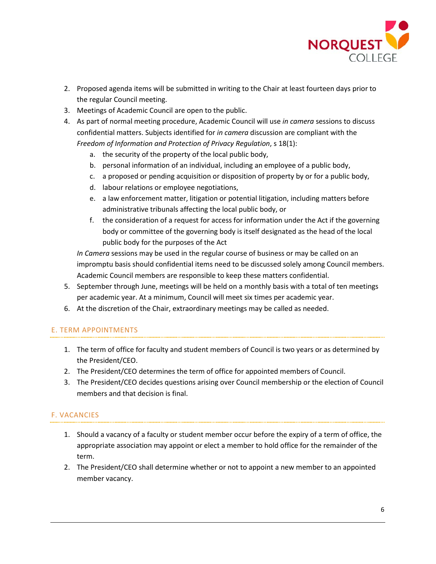

- 2. Proposed agenda items will be submitted in writing to the Chair at least fourteen days prior to the regular Council meeting.
- 3. Meetings of Academic Council are open to the public.
- 4. As part of normal meeting procedure, Academic Council will use *in camera* sessions to discuss confidential matters. Subjects identified for *in camera* discussion are compliant with the *Freedom of Information and Protection of Privacy Regulation*, s 18(1):
	- a. the security of the property of the local public body,
	- b. personal information of an individual, including an employee of a public body,
	- c. a proposed or pending acquisition or disposition of property by or for a public body,
	- d. labour relations or employee negotiations,
	- e. a law enforcement matter, litigation or potential litigation, including matters before administrative tribunals affecting the local public body, or
	- f. the consideration of a request for access for information under the Act if the governing body or committee of the governing body is itself designated as the head of the local public body for the purposes of the Act

*In Camera* sessions may be used in the regular course of business or may be called on an impromptu basis should confidential items need to be discussed solely among Council members. Academic Council members are responsible to keep these matters confidential.

- 5. September through June, meetings will be held on a monthly basis with a total of ten meetings per academic year. At a minimum, Council will meet six times per academic year.
- 6. At the discretion of the Chair, extraordinary meetings may be called as needed.

## E. TERM APPOINTMENTS

- 1. The term of office for faculty and student members of Council is two years or as determined by the President/CEO.
- 2. The President/CEO determines the term of office for appointed members of Council.
- 3. The President/CEO decides questions arising over Council membership or the election of Council members and that decision is final.

## F. VACANCIES

- 1. Should a vacancy of a faculty or student member occur before the expiry of a term of office, the appropriate association may appoint or elect a member to hold office for the remainder of the term.
- 2. The President/CEO shall determine whether or not to appoint a new member to an appointed member vacancy.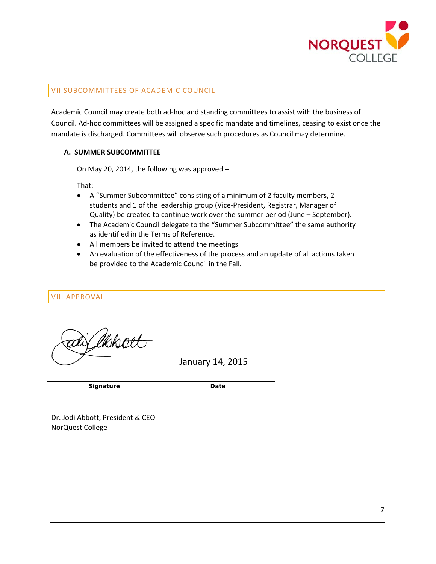

## VII SUBCOMMITTEES OF ACADEMIC COUNCIL

Academic Council may create both ad-hoc and standing committees to assist with the business of Council. Ad-hoc committees will be assigned a specific mandate and timelines, ceasing to exist once the mandate is discharged. Committees will observe such procedures as Council may determine.

#### **A. SUMMER SUBCOMMITTEE**

On May 20, 2014, the following was approved –

That:

- A "Summer Subcommittee" consisting of a minimum of 2 faculty members, 2 students and 1 of the leadership group (Vice-President, Registrar, Manager of Quality) be created to continue work over the summer period (June – September).
- The Academic Council delegate to the "Summer Subcommittee" the same authority as identified in the Terms of Reference.
- All members be invited to attend the meetings
- An evaluation of the effectiveness of the process and an update of all actions taken be provided to the Academic Council in the Fall.

VIII APPROVAL

lkkw

January 14, 2015

**Signature Date** 

Dr. Jodi Abbott, President & CEO NorQuest College